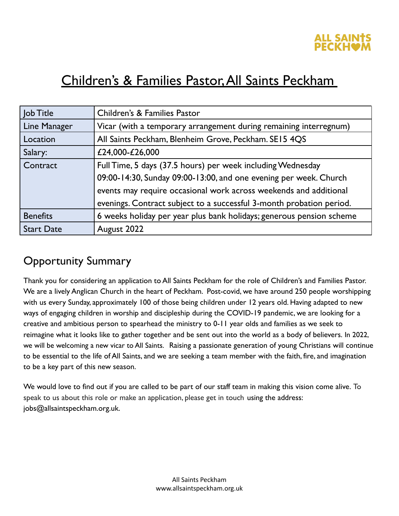

# Children's & Families Pastor,All Saints Peckham

| Job Title         | Children's & Families Pastor                                         |
|-------------------|----------------------------------------------------------------------|
| Line Manager      | Vicar (with a temporary arrangement during remaining interregnum)    |
| Location          | All Saints Peckham, Blenheim Grove, Peckham. SE15 4QS                |
| Salary:           | £24,000-£26,000                                                      |
| Contract          | Full Time, 5 days (37.5 hours) per week including Wednesday          |
|                   | 09:00-14:30, Sunday 09:00-13:00, and one evening per week. Church    |
|                   | events may require occasional work across weekends and additional    |
|                   | evenings. Contract subject to a successful 3-month probation period. |
| <b>Benefits</b>   | 6 weeks holiday per year plus bank holidays; generous pension scheme |
| <b>Start Date</b> | August 2022                                                          |

### Opportunity Summary

Thank you for considering an application to All Saints Peckham for the role of Children's and Families Pastor. We are a lively Anglican Church in the heart of Peckham. Post-covid, we have around 250 people worshipping with us every Sunday, approximately 100 of those being children under 12 years old. Having adapted to new ways of engaging children in worship and discipleship during the COVID-19 pandemic, we are looking for a creative and ambitious person to spearhead the ministry to 0-11 year olds and families as we seek to reimagine what it looks like to gather together and be sent out into the world as a body of believers. In 2022, we will be welcoming a new vicar to All Saints. Raising a passionate generation of young Christians will continue to be essential to the life of All Saints, and we are seeking a team member with the faith, fire, and imagination to be a key part of this new season.

We would love to find out if you are called to be part of our staff team in making this vision come alive. To speak to us about this role or make an application, please get in touch using the address: jobs@allsaintspeckham.org.uk.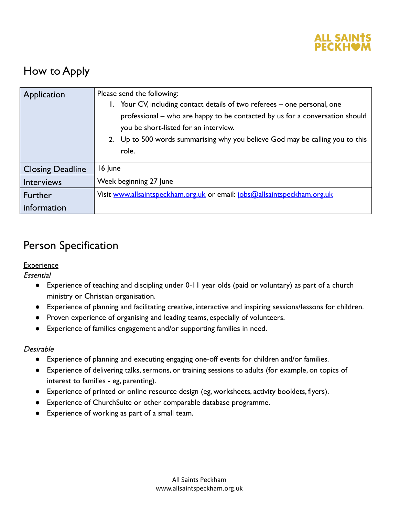

### How to Apply

| Application             | Please send the following:<br>1. Your CV, including contact details of two referees - one personal, one<br>professional – who are happy to be contacted by us for a conversation should<br>you be short-listed for an interview.<br>2. Up to 500 words summarising why you believe God may be calling you to this<br>role. |
|-------------------------|----------------------------------------------------------------------------------------------------------------------------------------------------------------------------------------------------------------------------------------------------------------------------------------------------------------------------|
| <b>Closing Deadline</b> | 16 June                                                                                                                                                                                                                                                                                                                    |
| <b>Interviews</b>       | Week beginning 27 June                                                                                                                                                                                                                                                                                                     |
| <b>Further</b>          | Visit www.allsaintspeckham.org.uk or email: jobs@allsaintspeckham.org.uk                                                                                                                                                                                                                                                   |
| information             |                                                                                                                                                                                                                                                                                                                            |

### Person Specification

#### **Experience**

**Essential** 

- Experience of teaching and discipling under 0-11 year olds (paid or voluntary) as part of a church ministry or Christian organisation.
- Experience of planning and facilitating creative, interactive and inspiring sessions/lessons for children.
- Proven experience of organising and leading teams, especially of volunteers.
- Experience of families engagement and/or supporting families in need.

#### Desirable

- Experience of planning and executing engaging one-off events for children and/or families.
- Experience of delivering talks, sermons, or training sessions to adults (for example, on topics of interest to families - eg, parenting).
- Experience of printed or online resource design (eg, worksheets, activity booklets, flyers).
- Experience of ChurchSuite or other comparable database programme.
- Experience of working as part of a small team.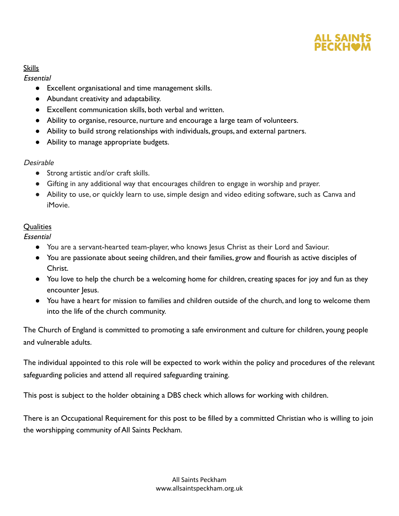

#### Skills

#### Essential

- Excellent organisational and time management skills.
- Abundant creativity and adaptability.
- Excellent communication skills, both verbal and written.
- Ability to organise, resource, nurture and encourage a large team of volunteers.
- Ability to build strong relationships with individuals, groups, and external partners.
- Ability to manage appropriate budgets.

#### Desirable

- Strong artistic and/or craft skills.
- Gifting in any additional way that encourages children to engage in worship and prayer.
- Ability to use, or quickly learn to use, simple design and video editing software, such as Canva and iMovie.

#### **Oualities**

#### **Essential**

- You are a servant-hearted team-player, who knows Jesus Christ as their Lord and Saviour.
- You are passionate about seeing children, and their families, grow and flourish as active disciples of Christ.
- You love to help the church be a welcoming home for children, creating spaces for joy and fun as they encounter Jesus.
- You have a heart for mission to families and children outside of the church, and long to welcome them into the life of the church community.

The Church of England is committed to promoting a safe environment and culture for children, young people and vulnerable adults.

The individual appointed to this role will be expected to work within the policy and procedures of the relevant safeguarding policies and attend all required safeguarding training.

This post is subject to the holder obtaining a DBS check which allows for working with children.

There is an Occupational Requirement for this post to be filled by a committed Christian who is willing to join the worshipping community of All Saints Peckham.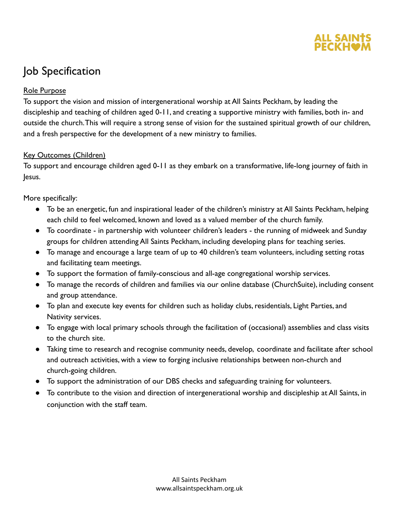

## Job Specification

#### Role Purpose

To support the vision and mission of intergenerational worship at All Saints Peckham, by leading the discipleship and teaching of children aged 0-11, and creating a supportive ministry with families, both in- and outside the church.This will require a strong sense of vision for the sustained spiritual growth of our children, and a fresh perspective for the development of a new ministry to families.

#### Key Outcomes (Children)

To support and encourage children aged 0-11 as they embark on a transformative, life-long journey of faith in Jesus.

More specifically:

- To be an energetic, fun and inspirational leader of the children's ministry at All Saints Peckham, helping each child to feel welcomed, known and loved as a valued member of the church family.
- To coordinate in partnership with volunteer children's leaders the running of midweek and Sunday groups for children attending All Saints Peckham, including developing plans for teaching series.
- To manage and encourage a large team of up to 40 children's team volunteers, including setting rotas and facilitating team meetings.
- To support the formation of family-conscious and all-age congregational worship services.
- To manage the records of children and families via our online database (ChurchSuite), including consent and group attendance.
- To plan and execute key events for children such as holiday clubs, residentials, Light Parties, and Nativity services.
- To engage with local primary schools through the facilitation of (occasional) assemblies and class visits to the church site.
- Taking time to research and recognise community needs, develop, coordinate and facilitate after school and outreach activities, with a view to forging inclusive relationships between non-church and church-going children.
- To support the administration of our DBS checks and safeguarding training for volunteers.
- To contribute to the vision and direction of intergenerational worship and discipleship at All Saints, in conjunction with the staff team.